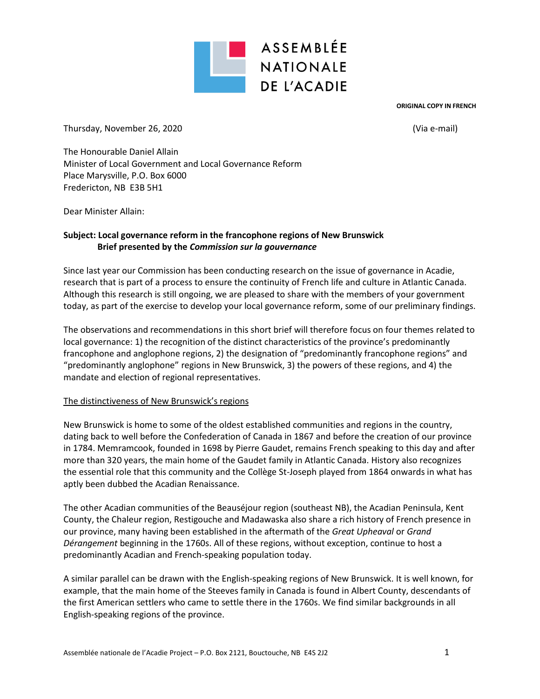

**ORIGINAL COPY IN FRENCH**

Thursday, November 26, 2020 (Via e-mail)

The Honourable Daniel Allain Minister of Local Government and Local Governance Reform Place Marysville, P.O. Box 6000 Fredericton, NB E3B 5H1

Dear Minister Allain:

## **Subject: Local governance reform in the francophone regions of New Brunswick Brief presented by the** *Commission sur la gouvernance*

Since last year our Commission has been conducting research on the issue of governance in Acadie, research that is part of a process to ensure the continuity of French life and culture in Atlantic Canada. Although this research is still ongoing, we are pleased to share with the members of your government today, as part of the exercise to develop your local governance reform, some of our preliminary findings.

The observations and recommendations in this short brief will therefore focus on four themes related to local governance: 1) the recognition of the distinct characteristics of the province's predominantly francophone and anglophone regions, 2) the designation of "predominantly francophone regions" and "predominantly anglophone" regions in New Brunswick, 3) the powers of these regions, and 4) the mandate and election of regional representatives.

### The distinctiveness of New Brunswick's regions

New Brunswick is home to some of the oldest established communities and regions in the country, dating back to well before the Confederation of Canada in 1867 and before the creation of our province in 1784. Memramcook, founded in 1698 by Pierre Gaudet, remains French speaking to this day and after more than 320 years, the main home of the Gaudet family in Atlantic Canada. History also recognizes the essential role that this community and the Collège St-Joseph played from 1864 onwards in what has aptly been dubbed the Acadian Renaissance.

The other Acadian communities of the Beauséjour region (southeast NB), the Acadian Peninsula, Kent County, the Chaleur region, Restigouche and Madawaska also share a rich history of French presence in our province, many having been established in the aftermath of the *Great Upheaval* or *Grand Dérangement* beginning in the 1760s. All of these regions, without exception, continue to host a predominantly Acadian and French-speaking population today.

A similar parallel can be drawn with the English-speaking regions of New Brunswick. It is well known, for example, that the main home of the Steeves family in Canada is found in Albert County, descendants of the first American settlers who came to settle there in the 1760s. We find similar backgrounds in all English-speaking regions of the province.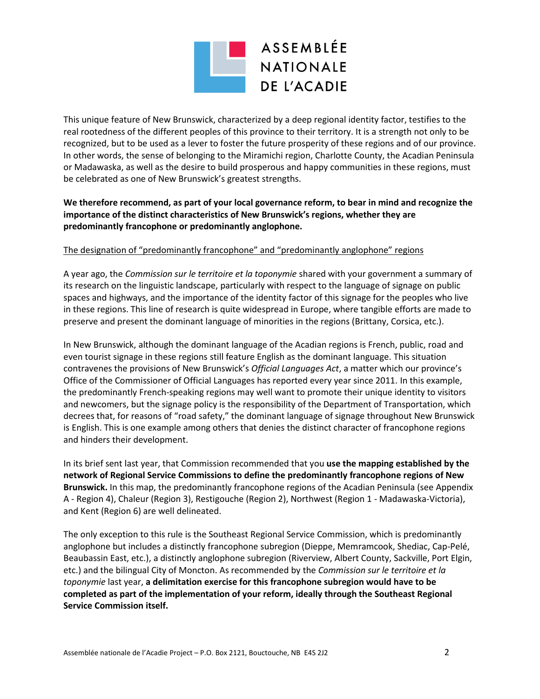

This unique feature of New Brunswick, characterized by a deep regional identity factor, testifies to the real rootedness of the different peoples of this province to their territory. It is a strength not only to be recognized, but to be used as a lever to foster the future prosperity of these regions and of our province. In other words, the sense of belonging to the Miramichi region, Charlotte County, the Acadian Peninsula or Madawaska, as well as the desire to build prosperous and happy communities in these regions, must be celebrated as one of New Brunswick's greatest strengths.

**We therefore recommend, as part of your local governance reform, to bear in mind and recognize the importance of the distinct characteristics of New Brunswick's regions, whether they are predominantly francophone or predominantly anglophone.**

#### The designation of "predominantly francophone" and "predominantly anglophone" regions

A year ago, the *Commission sur le territoire et la toponymie* shared with your government a summary of its research on the linguistic landscape, particularly with respect to the language of signage on public spaces and highways, and the importance of the identity factor of this signage for the peoples who live in these regions. This line of research is quite widespread in Europe, where tangible efforts are made to preserve and present the dominant language of minorities in the regions (Brittany, Corsica, etc.).

In New Brunswick, although the dominant language of the Acadian regions is French, public, road and even tourist signage in these regions still feature English as the dominant language. This situation contravenes the provisions of New Brunswick's *Official Languages Act*, a matter which our province's Office of the Commissioner of Official Languages has reported every year since 2011. In this example, the predominantly French-speaking regions may well want to promote their unique identity to visitors and newcomers, but the signage policy is the responsibility of the Department of Transportation, which decrees that, for reasons of "road safety," the dominant language of signage throughout New Brunswick is English. This is one example among others that denies the distinct character of francophone regions and hinders their development.

In its brief sent last year, that Commission recommended that you **use the mapping established by the network of Regional Service Commissions to define the predominantly francophone regions of New Brunswick.** In this map, the predominantly francophone regions of the Acadian Peninsula (see Appendix A - Region 4), Chaleur (Region 3), Restigouche (Region 2), Northwest (Region 1 - Madawaska-Victoria), and Kent (Region 6) are well delineated.

The only exception to this rule is the Southeast Regional Service Commission, which is predominantly anglophone but includes a distinctly francophone subregion (Dieppe, Memramcook, Shediac, Cap-Pelé, Beaubassin East, etc.), a distinctly anglophone subregion (Riverview, Albert County, Sackville, Port Elgin, etc.) and the bilingual City of Moncton. As recommended by the *Commission sur le territoire et la toponymie* last year, **a delimitation exercise for this francophone subregion would have to be completed as part of the implementation of your reform, ideally through the Southeast Regional Service Commission itself.**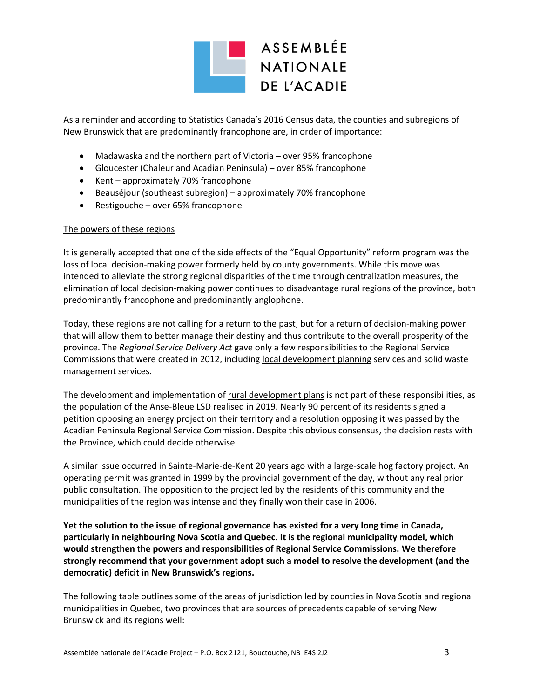

As a reminder and according to Statistics Canada's 2016 Census data, the counties and subregions of New Brunswick that are predominantly francophone are, in order of importance:

- Madawaska and the northern part of Victoria over 95% francophone
- Gloucester (Chaleur and Acadian Peninsula) over 85% francophone
- Kent approximately 70% francophone
- Beauséjour (southeast subregion) approximately 70% francophone
- $\bullet$  Restigouche over 65% francophone

#### The powers of these regions

It is generally accepted that one of the side effects of the "Equal Opportunity" reform program was the loss of local decision-making power formerly held by county governments. While this move was intended to alleviate the strong regional disparities of the time through centralization measures, the elimination of local decision-making power continues to disadvantage rural regions of the province, both predominantly francophone and predominantly anglophone.

Today, these regions are not calling for a return to the past, but for a return of decision-making power that will allow them to better manage their destiny and thus contribute to the overall prosperity of the province. The *Regional Service Delivery Act* gave only a few responsibilities to the Regional Service Commissions that were created in 2012, including local development planning services and solid waste management services.

The development and implementation of rural development plans is not part of these responsibilities, as the population of the Anse-Bleue LSD realised in 2019. Nearly 90 percent of its residents signed a petition opposing an energy project on their territory and a resolution opposing it was passed by the Acadian Peninsula Regional Service Commission. Despite this obvious consensus, the decision rests with the Province, which could decide otherwise.

A similar issue occurred in Sainte-Marie-de-Kent 20 years ago with a large-scale hog factory project. An operating permit was granted in 1999 by the provincial government of the day, without any real prior public consultation. The opposition to the project led by the residents of this community and the municipalities of the region was intense and they finally won their case in 2006.

**Yet the solution to the issue of regional governance has existed for a very long time in Canada, particularly in neighbouring Nova Scotia and Quebec. It is the regional municipality model, which would strengthen the powers and responsibilities of Regional Service Commissions. We therefore strongly recommend that your government adopt such a model to resolve the development (and the democratic) deficit in New Brunswick's regions.**

The following table outlines some of the areas of jurisdiction led by counties in Nova Scotia and regional municipalities in Quebec, two provinces that are sources of precedents capable of serving New Brunswick and its regions well: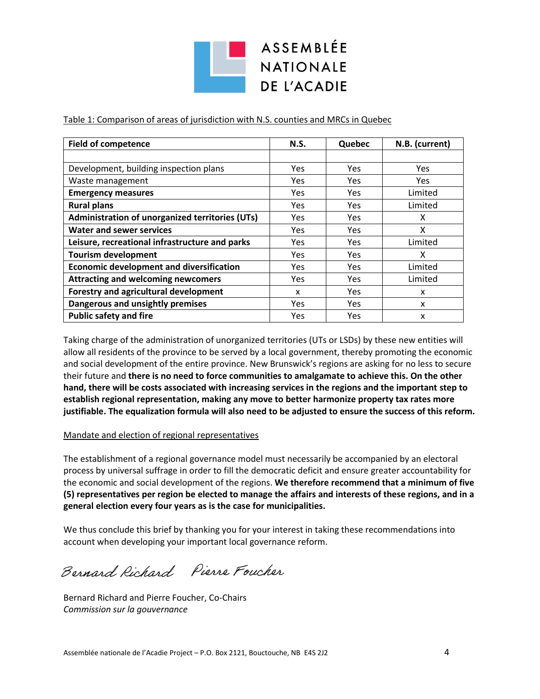ASSEMBLÉE **DE L'ACADIE** 

Table 1: Comparison of areas of jurisdiction with N.S. counties and MRCs in Quebec

| <b>Field of competence</b>                      | <b>N.S.</b> | Quebec     | N.B. (current) |
|-------------------------------------------------|-------------|------------|----------------|
|                                                 |             |            |                |
| Development, building inspection plans          | Yes         | Yes        | Yes            |
| Waste management                                | <b>Yes</b>  | <b>Yes</b> | Yes.           |
| <b>Emergency measures</b>                       | Yes         | Yes        | Limited        |
| <b>Rural plans</b>                              | Yes.        | Yes.       | Limited        |
| Administration of unorganized territories (UTs) | <b>Yes</b>  | Yes        | x              |
| <b>Water and sewer services</b>                 | <b>Yes</b>  | Yes        | x              |
| Leisure, recreational infrastructure and parks  | Yes         | Yes        | Limited        |
| <b>Tourism development</b>                      | Yes         | Yes        | x              |
| <b>Economic development and diversification</b> | Yes         | Yes        | Limited        |
| <b>Attracting and welcoming newcomers</b>       | Yes         | Yes        | Limited        |
| Forestry and agricultural development           | X           | Yes.       | x              |
| Dangerous and unsightly premises                | Yes         | Yes        | x              |
| <b>Public safety and fire</b>                   | Yes.        | Yes        | x              |

Taking charge of the administration of unorganized territories (UTs or LSDs) by these new entities will allow all residents of the province to be served by a local government, thereby promoting the economic and social development of the entire province. New Brunswick's regions are asking for no less to secure their future and **there is no need to force communities to amalgamate to achieve this. On the other hand, there will be costs associated with increasing services in the regions and the important step to establish regional representation, making any move to better harmonize property tax rates more justifiable. The equalization formula will also need to be adjusted to ensure the success of this reform.**

#### Mandate and election of regional representatives

The establishment of a regional governance model must necessarily be accompanied by an electoral process by universal suffrage in order to fill the democratic deficit and ensure greater accountability for the economic and social development of the regions. **We therefore recommend that a minimum of five (5) representatives per region be elected to manage the affairs and interests of these regions, and in a general election every four years as is the case for municipalities.**

We thus conclude this brief by thanking you for your interest in taking these recommendations into account when developing your important local governance reform.

Bernard Richard Pierre Foucher

Bernard Richard and Pierre Foucher, Co-Chairs *Commission sur la gouvernance*